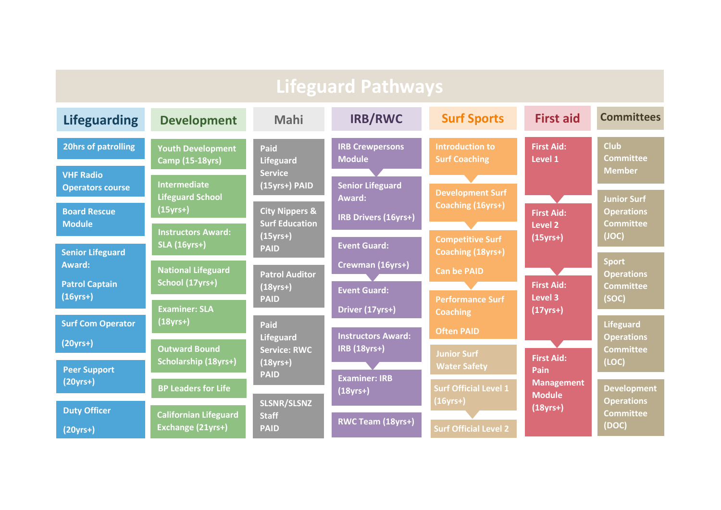| <b>Lifeguard Pathways</b>                            |                                                              |                                                        |                                                                  |                                                                 |                                                  |                                                                |
|------------------------------------------------------|--------------------------------------------------------------|--------------------------------------------------------|------------------------------------------------------------------|-----------------------------------------------------------------|--------------------------------------------------|----------------------------------------------------------------|
| <b>Lifeguarding</b>                                  | <b>Development</b>                                           | Mahi                                                   | <b>IRB/RWC</b>                                                   | <b>Surf Sports</b>                                              | <b>First aid</b>                                 | <b>Committees</b>                                              |
| <b>20hrs of patrolling</b><br><b>VHF Radio</b>       | <b>Youth Development</b><br><b>Camp (15-18yrs)</b>           | Paid<br><b>Lifeguard</b><br><b>Service</b>             | <b>IRB Crewpersons</b><br><b>Module</b>                          | <b>Introduction to</b><br><b>Surf Coaching</b>                  | <b>First Aid:</b><br>Level 1                     | <b>Club</b><br><b>Committee</b><br><b>Member</b>               |
| <b>Operators course</b><br><b>Board Rescue</b>       | <b>Intermediate</b><br><b>Lifeguard School</b><br>$(15yrs+)$ | (15yrs+) PAID<br><b>City Nippers &amp;</b>             | <b>Senior Lifeguard</b><br>Award:<br><b>IRB Drivers (16yrs+)</b> | <b>Development Surf</b><br>Coaching (16yrs+)                    | <b>First Aid:</b>                                | <b>Junior Surf</b><br><b>Operations</b>                        |
| <b>Module</b><br><b>Senior Lifeguard</b>             | <b>Instructors Award:</b><br><b>SLA (16yrs+)</b>             | <b>Surf Education</b><br>$(15$ yrs+ $)$<br><b>PAID</b> | <b>Event Guard:</b>                                              | <b>Competitive Surf</b><br>Coaching (18yrs+)                    | Level <sub>2</sub><br>$(15yrs+)$                 | <b>Committee</b><br>(JOC)                                      |
| <b>Award:</b><br><b>Patrol Captain</b><br>$(16yrs+)$ | <b>National Lifeguard</b><br>School (17yrs+)                 | <b>Patrol Auditor</b><br>$(18yrs+)$                    | Crewman (16yrs+)<br><b>Event Guard:</b>                          | <b>Can be PAID</b>                                              | <b>First Aid:</b><br>Level 3                     | <b>Sport</b><br><b>Operations</b><br><b>Committee</b><br>(SOC) |
| <b>Surf Com Operator</b>                             | <b>Examiner: SLA</b><br>$(18yrs+)$                           | <b>PAID</b><br>Paid<br><b>Lifeguard</b>                | Driver (17yrs+)<br><b>Instructors Award:</b>                     | <b>Performance Surf</b><br><b>Coaching</b><br><b>Often PAID</b> | $(17yrs+)$                                       | <b>Lifeguard</b><br><b>Operations</b>                          |
| $(20yrs+)$<br><b>Peer Support</b>                    | <b>Outward Bound</b><br><b>Scholarship (18yrs+)</b>          | <b>Service: RWC</b><br>$(18$ yrs+ $)$<br><b>PAID</b>   | <b>IRB (18yrs+)</b><br><b>Examiner: IRB</b>                      | <b>Junior Surf</b><br><b>Water Safety</b>                       | <b>First Aid:</b><br>Pain                        | <b>Committee</b><br>(LOC)                                      |
| $(20yrs+)$<br><b>Duty Officer</b>                    | <b>BP Leaders for Life</b><br><b>Californian Lifeguard</b>   | <b>SLSNR/SLSNZ</b>                                     | $(18$ yrs+)                                                      | <b>Surf Official Level 1</b><br>$(16yrs+)$                      | <b>Management</b><br><b>Module</b><br>$(18yrs+)$ | <b>Development</b><br><b>Operations</b><br><b>Committee</b>    |
| $(20yrs+)$                                           | Exchange (21yrs+)                                            | <b>Staff</b><br><b>PAID</b>                            | RWC Team (18yrs+)                                                | <b>Surf Official Level 2</b>                                    |                                                  | (DOC)                                                          |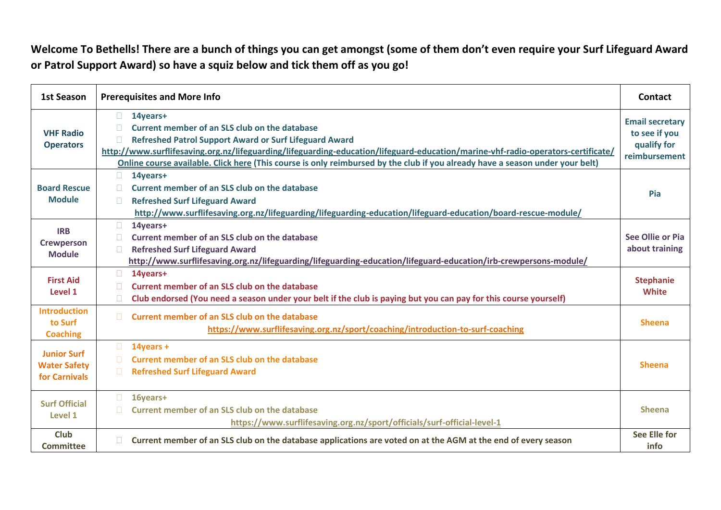Welcome To Bethells! There are a bunch of things you can get amongst (some of them don't even require your Surf Lifeguard Award **or Patrol Support Award) so have a squiz below and tick them off as you go!**

| 1st Season                                                 | <b>Prerequisites and More Info</b>                                                                                                                                                                                                                                                                                                                                                                                  | <b>Contact</b>                                                          |
|------------------------------------------------------------|---------------------------------------------------------------------------------------------------------------------------------------------------------------------------------------------------------------------------------------------------------------------------------------------------------------------------------------------------------------------------------------------------------------------|-------------------------------------------------------------------------|
| <b>VHF Radio</b><br><b>Operators</b>                       | $\Box$<br>14years+<br>Current member of an SLS club on the database<br><b>Refreshed Patrol Support Award or Surf Lifeguard Award</b><br>$\Box$<br>http://www.surflifesaving.org.nz/lifeguarding/lifeguarding-education/lifeguard-education/marine-vhf-radio-operators-certificate/<br>Online course available. Click here (This course is only reimbursed by the club if you already have a season under your belt) | <b>Email secretary</b><br>to see if you<br>qualify for<br>reimbursement |
| <b>Board Rescue</b><br><b>Module</b>                       | $\Box$<br>14years+<br>Current member of an SLS club on the database<br>n.<br><b>Refreshed Surf Lifeguard Award</b><br>П.<br>http://www.surflifesaving.org.nz/lifeguarding/lifeguarding-education/lifeguard-education/board-rescue-module/                                                                                                                                                                           | Pia                                                                     |
| <b>IRB</b><br><b>Crewperson</b><br><b>Module</b>           | $\Box$<br>14years+<br>Current member of an SLS club on the database<br>n.<br><b>Refreshed Surf Lifeguard Award</b><br>П.<br>http://www.surflifesaving.org.nz/lifeguarding/lifeguarding-education/lifeguard-education/irb-crewpersons-module/                                                                                                                                                                        | <b>See Ollie or Pia</b><br>about training                               |
| <b>First Aid</b><br>Level 1                                | $\Box$<br>14years+<br><b>Current member of an SLS club on the database</b><br>n<br>Club endorsed (You need a season under your belt if the club is paying but you can pay for this course yourself)<br>n.                                                                                                                                                                                                           | <b>Stephanie</b><br><b>White</b>                                        |
| <b>Introduction</b><br>to Surf<br><b>Coaching</b>          | <b>Current member of an SLS club on the database</b><br>$\Box$<br>https://www.surflifesaving.org.nz/sport/coaching/introduction-to-surf-coaching                                                                                                                                                                                                                                                                    | <b>Sheena</b>                                                           |
| <b>Junior Surf</b><br><b>Water Safety</b><br>for Carnivals | $\Box$<br>$14$ years +<br><b>Current member of an SLS club on the database</b><br>$\Box$<br>$\Box$<br><b>Refreshed Surf Lifeguard Award</b>                                                                                                                                                                                                                                                                         | <b>Sheena</b>                                                           |
| <b>Surf Official</b><br>Level 1                            | $\Box$<br>16years+<br><b>Current member of an SLS club on the database</b><br>$\Box$<br>https://www.surflifesaving.org.nz/sport/officials/surf-official-level-1                                                                                                                                                                                                                                                     | <b>Sheena</b>                                                           |
| <b>Club</b><br>Committee                                   | Current member of an SLS club on the database applications are voted on at the AGM at the end of every season<br>П.                                                                                                                                                                                                                                                                                                 | <b>See Elle for</b><br>info                                             |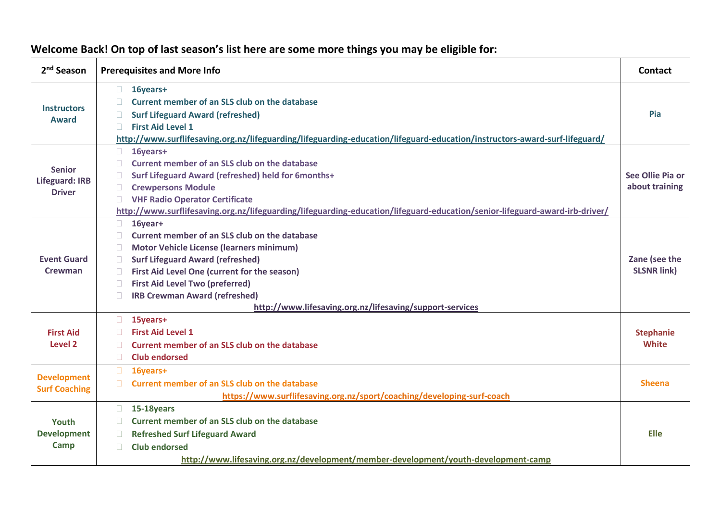| 2 <sup>nd</sup> Season                                  | <b>Prerequisites and More Info</b>                                                                                                                                                                                                                                                                                                                                                           | <b>Contact</b>                      |
|---------------------------------------------------------|----------------------------------------------------------------------------------------------------------------------------------------------------------------------------------------------------------------------------------------------------------------------------------------------------------------------------------------------------------------------------------------------|-------------------------------------|
| <b>Instructors</b><br><b>Award</b>                      | 16years+<br>$\Box$<br>Current member of an SLS club on the database<br>n.<br><b>Surf Lifeguard Award (refreshed)</b><br>$\Box$<br><b>First Aid Level 1</b><br>П.<br>http://www.surflifesaving.org.nz/lifeguarding/lifeguarding-education/lifeguard-education/instructors-award-surf-lifeguard/                                                                                               | Pia                                 |
| <b>Senior</b><br><b>Lifeguard: IRB</b><br><b>Driver</b> | $\Box$<br>16years+<br>Current member of an SLS club on the database<br>$\Box$<br>Surf Lifeguard Award (refreshed) held for 6months+<br>$\Box$<br><b>Crewpersons Module</b><br>O.<br><b>VHF Radio Operator Certificate</b><br>n.<br>http://www.surflifesaving.org.nz/lifeguarding/lifeguarding-education/lifeguard-education/senior-lifeguard-award-irb-driver/                               | See Ollie Pia or<br>about training  |
| <b>Event Guard</b><br>Crewman                           | $\Box$<br>16year+<br>Current member of an SLS club on the database<br>n.<br><b>Motor Vehicle License (learners minimum)</b><br>П.<br><b>Surf Lifeguard Award (refreshed)</b><br>П.<br>First Aid Level One (current for the season)<br>n.<br><b>First Aid Level Two (preferred)</b><br><b>IRB Crewman Award (refreshed)</b><br>П.<br>http://www.lifesaving.org.nz/lifesaving/support-services | Zane (see the<br><b>SLSNR link)</b> |
| <b>First Aid</b><br><b>Level 2</b>                      | 15years+<br>$\Box$<br><b>First Aid Level 1</b><br><b>Current member of an SLS club on the database</b><br>$\mathbb{R}^n$<br>$\Box$<br><b>Club endorsed</b>                                                                                                                                                                                                                                   | <b>Stephanie</b><br><b>White</b>    |
| <b>Development</b><br><b>Surf Coaching</b>              | $\Box$<br>16years+<br><b>Current member of an SLS club on the database</b><br>$\Box$<br>https://www.surflifesaving.org.nz/sport/coaching/developing-surf-coach                                                                                                                                                                                                                               | <b>Sheena</b>                       |
| Youth<br><b>Development</b><br><b>Camp</b>              | 15-18years<br>$\Box$<br>Current member of an SLS club on the database<br><b>Refreshed Surf Lifeguard Award</b><br>$\Box$<br><b>Club endorsed</b><br>$\Box$<br>http://www.lifesaving.org.nz/development/member-development/youth-development-camp                                                                                                                                             | Elle                                |

## **Welcome Back! On top of last season's list here are some more things you may be eligible for:**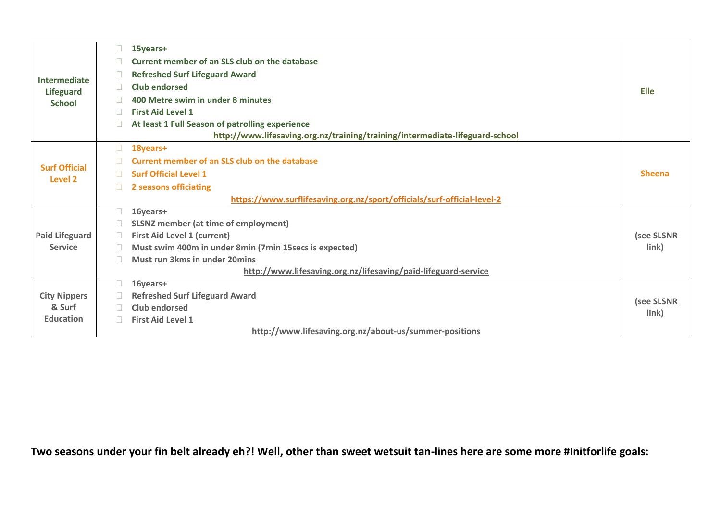| Intermediate<br><b>Lifeguard</b> | $\mathcal{L}_{\mathcal{A}}$ | 15years+                                                                     |               |
|----------------------------------|-----------------------------|------------------------------------------------------------------------------|---------------|
|                                  |                             | <b>Current member of an SLS club on the database</b>                         |               |
|                                  | T.                          | <b>Refreshed Surf Lifeguard Award</b>                                        |               |
|                                  | <b>Tale</b>                 | <b>Club endorsed</b>                                                         | <b>Elle</b>   |
| <b>School</b>                    |                             | 400 Metre swim in under 8 minutes                                            |               |
|                                  | $\mathbb{R}^n$              | <b>First Aid Level 1</b>                                                     |               |
|                                  | n.                          | At least 1 Full Season of patrolling experience                              |               |
|                                  |                             | http://www.lifesaving.org.nz/training/training/intermediate-lifeguard-school |               |
|                                  | $\Box$                      | 18years+                                                                     |               |
| <b>Surf Official</b>             |                             | Current member of an SLS club on the database                                |               |
| Level 2                          | П.                          | <b>Surf Official Level 1</b>                                                 | <b>Sheena</b> |
|                                  | $\Box$                      | 2 seasons officiating                                                        |               |
|                                  |                             | https://www.surflifesaving.org.nz/sport/officials/surf-official-level-2      |               |
|                                  | $\Box$                      | 16years+                                                                     |               |
|                                  |                             | <b>SLSNZ member (at time of employment)</b>                                  |               |
| <b>Paid Lifeguard</b>            | $\sim$                      | <b>First Aid Level 1 (current)</b>                                           | (see SLSNR    |
| <b>Service</b>                   | $\sim$                      | Must swim 400m in under 8min (7min 15secs is expected)                       | link)         |
|                                  | n.                          | <b>Must run 3kms in under 20mins</b>                                         |               |
|                                  |                             | http://www.lifesaving.org.nz/lifesaving/paid-lifeguard-service               |               |
|                                  | П.                          | 16years+                                                                     |               |
| <b>City Nippers</b>              |                             | <b>Refreshed Surf Lifeguard Award</b>                                        | (see SLSNR    |
| & Surf                           |                             | Club endorsed                                                                | link)         |
| <b>Education</b>                 | $\Box$                      | <b>First Aid Level 1</b>                                                     |               |
|                                  |                             | http://www.lifesaving.org.nz/about-us/summer-positions                       |               |

**Two seasons under your fin belt already eh?! Well, other than sweet wetsuit tan-lines here are some more #Initforlife goals:**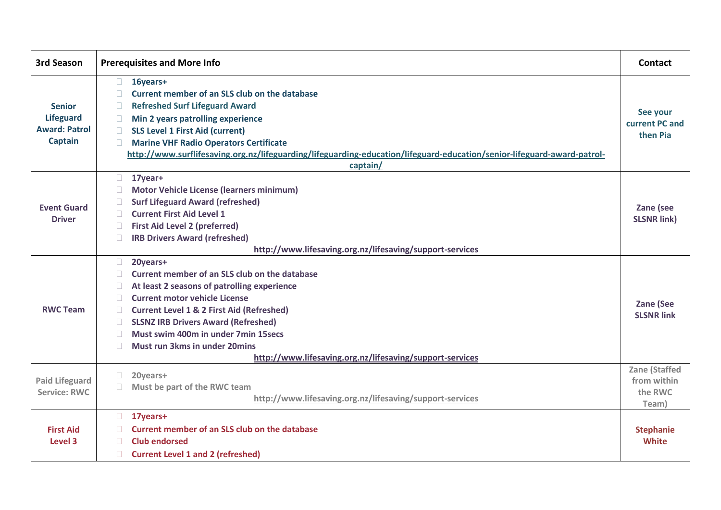| <b>3rd Season</b>                                                           | <b>Prerequisites and More Info</b>                                                                                                                                                                                                                                                                                                                                                                                                                                              | Contact                                                 |
|-----------------------------------------------------------------------------|---------------------------------------------------------------------------------------------------------------------------------------------------------------------------------------------------------------------------------------------------------------------------------------------------------------------------------------------------------------------------------------------------------------------------------------------------------------------------------|---------------------------------------------------------|
| <b>Senior</b><br><b>Lifeguard</b><br><b>Award: Patrol</b><br><b>Captain</b> | $\Box$<br>16years+<br>Current member of an SLS club on the database<br><b>Refreshed Surf Lifeguard Award</b><br>$\Box$<br>Min 2 years patrolling experience<br>$\mathcal{L}_{\mathcal{A}}$<br><b>SLS Level 1 First Aid (current)</b><br>$\Box$<br><b>Marine VHF Radio Operators Certificate</b><br>П.<br>http://www.surflifesaving.org.nz/lifeguarding/lifeguarding-education/lifeguard-education/senior-lifeguard-award-patrol-<br>captain/                                    | See your<br>current PC and<br>then Pia                  |
| <b>Event Guard</b><br><b>Driver</b>                                         | $\Box$<br>17year+<br><b>Motor Vehicle License (learners minimum)</b><br>$\mathcal{L}_{\mathcal{A}}$<br><b>Surf Lifeguard Award (refreshed)</b><br>П.<br><b>Current First Aid Level 1</b><br>П.<br><b>First Aid Level 2 (preferred)</b><br>$\sim$<br><b>IRB Drivers Award (refreshed)</b><br>$\Box$<br>http://www.lifesaving.org.nz/lifesaving/support-services                                                                                                                  | Zane (see<br><b>SLSNR link)</b>                         |
| <b>RWC Team</b>                                                             | $\Box$<br>20years+<br>Current member of an SLS club on the database<br>П.<br>At least 2 seasons of patrolling experience<br>$\sim$<br><b>Current motor vehicle License</b><br>$\sim$<br><b>Current Level 1 &amp; 2 First Aid (Refreshed)</b><br>П.<br><b>SLSNZ IRB Drivers Award (Refreshed)</b><br>$\mathcal{L}_{\mathcal{A}}$<br>Must swim 400m in under 7min 15secs<br>n.<br>Must run 3kms in under 20mins<br>П.<br>http://www.lifesaving.org.nz/lifesaving/support-services | <b>Zane (See</b><br><b>SLSNR link</b>                   |
| <b>Paid Lifeguard</b><br><b>Service: RWC</b>                                | $\Box$<br>20years+<br>Must be part of the RWC team<br>$\Box$<br>http://www.lifesaving.org.nz/lifesaving/support-services                                                                                                                                                                                                                                                                                                                                                        | <b>Zane (Staffed</b><br>from within<br>the RWC<br>Team) |
| <b>First Aid</b><br><b>Level 3</b>                                          | $\Box$<br>17years+<br><b>Current member of an SLS club on the database</b><br><b>Club endorsed</b><br><b>Current Level 1 and 2 (refreshed)</b><br>$\Box$                                                                                                                                                                                                                                                                                                                        | <b>Stephanie</b><br><b>White</b>                        |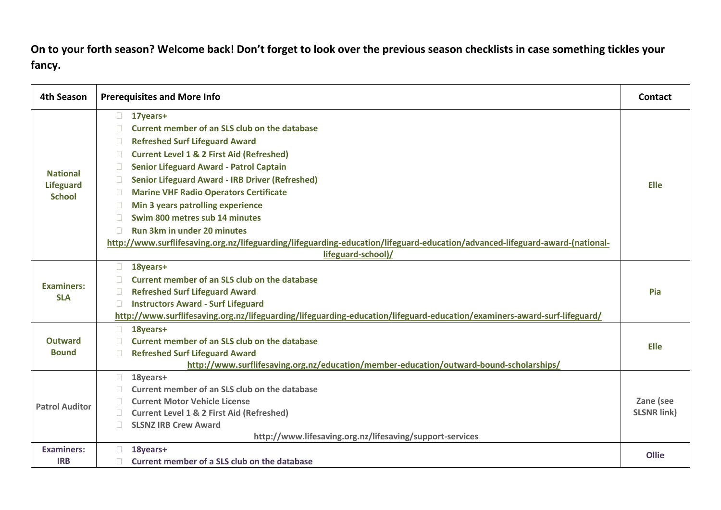**On to your forth season? Welcome back! Don't forget to look over the previous season checklists in case something tickles your fancy.**

| 4th Season            | <b>Prerequisites and More Info</b>                                                                                           | <b>Contact</b>                  |
|-----------------------|------------------------------------------------------------------------------------------------------------------------------|---------------------------------|
|                       | 17years+<br>$\Box$                                                                                                           |                                 |
|                       | Current member of an SLS club on the database                                                                                |                                 |
|                       | <b>Refreshed Surf Lifeguard Award</b>                                                                                        |                                 |
|                       | <b>Current Level 1 &amp; 2 First Aid (Refreshed)</b><br>$\mathcal{L}^{\mathcal{A}}$                                          |                                 |
| <b>National</b>       | <b>Senior Lifeguard Award - Patrol Captain</b>                                                                               |                                 |
| <b>Lifeguard</b>      | <b>Senior Lifeguard Award - IRB Driver (Refreshed)</b><br>n.                                                                 | <b>Elle</b>                     |
| <b>School</b>         | <b>Marine VHF Radio Operators Certificate</b><br><b>Tale</b>                                                                 |                                 |
|                       | Min 3 years patrolling experience<br>H                                                                                       |                                 |
|                       | Swim 800 metres sub 14 minutes                                                                                               |                                 |
|                       | <b>Run 3km in under 20 minutes</b><br>n.                                                                                     |                                 |
|                       | http://www.surflifesaving.org.nz/lifeguarding/lifeguarding-education/lifeguard-education/advanced-lifeguard-award-(national- |                                 |
|                       | lifeguard-school)/                                                                                                           |                                 |
|                       | 18years+<br>$\Box$                                                                                                           |                                 |
| <b>Examiners:</b>     | Current member of an SLS club on the database                                                                                |                                 |
| <b>SLA</b>            | <b>Refreshed Surf Lifeguard Award</b>                                                                                        | Pia                             |
|                       | <b>Instructors Award - Surf Lifeguard</b><br>П.                                                                              |                                 |
|                       | http://www.surflifesaving.org.nz/lifeguarding/lifeguarding-education/lifeguard-education/examiners-award-surf-lifeguard/     |                                 |
|                       | $\Box$<br>18years+                                                                                                           |                                 |
| <b>Outward</b>        | Current member of an SLS club on the database                                                                                | <b>Elle</b>                     |
| <b>Bound</b>          | <b>Refreshed Surf Lifeguard Award</b>                                                                                        |                                 |
|                       | http://www.surflifesaving.org.nz/education/member-education/outward-bound-scholarships/                                      |                                 |
|                       | 18years+<br>П                                                                                                                |                                 |
|                       | Current member of an SLS club on the database                                                                                |                                 |
| <b>Patrol Auditor</b> | <b>Current Motor Vehicle License</b><br>n.                                                                                   | Zane (see<br><b>SLSNR link)</b> |
|                       | <b>Current Level 1 &amp; 2 First Aid (Refreshed)</b><br><b>SLSNZ IRB Crew Award</b>                                          |                                 |
|                       | http://www.lifesaving.org.nz/lifesaving/support-services                                                                     |                                 |
| <b>Examiners:</b>     | 18years+                                                                                                                     |                                 |
| <b>IRB</b>            | Current member of a SLS club on the database                                                                                 | Ollie                           |
|                       |                                                                                                                              |                                 |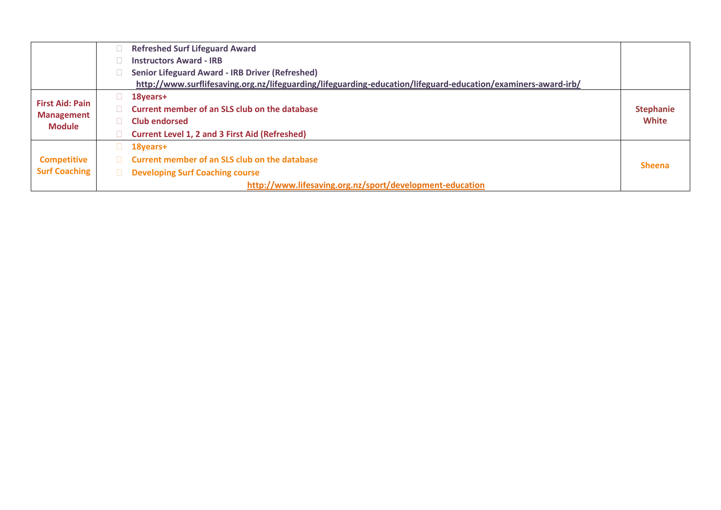|                                                              |     | <b>Refreshed Surf Lifeguard Award</b>                                                                         |                  |
|--------------------------------------------------------------|-----|---------------------------------------------------------------------------------------------------------------|------------------|
|                                                              |     | <b>Instructors Award - IRB</b>                                                                                |                  |
|                                                              |     | <b>Senior Lifeguard Award - IRB Driver (Refreshed)</b>                                                        |                  |
|                                                              |     | http://www.surflifesaving.org.nz/lifeguarding/lifeguarding-education/lifeguard-education/examiners-award-irb/ |                  |
|                                                              |     | 18years+                                                                                                      |                  |
| <b>First Aid: Pain</b><br><b>Management</b><br><b>Module</b> |     | Current member of an SLS club on the database                                                                 | <b>Stephanie</b> |
|                                                              |     | <b>Club endorsed</b>                                                                                          | White            |
|                                                              |     | <b>Current Level 1, 2 and 3 First Aid (Refreshed)</b>                                                         |                  |
|                                                              | u - | 18years+                                                                                                      |                  |
| <b>Competitive</b>                                           |     | <b>Current member of an SLS club on the database</b>                                                          | <b>Sheena</b>    |
| <b>Surf Coaching</b>                                         | П.  | <b>Developing Surf Coaching course</b>                                                                        |                  |
|                                                              |     | http://www.lifesaving.org.nz/sport/development-education                                                      |                  |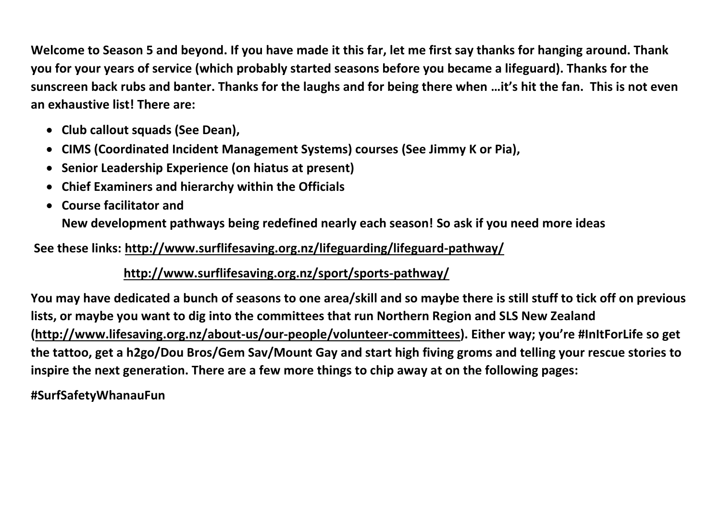**Welcome to Season 5 and beyond. If you have made it this far, let me first say thanks for hanging around. Thank you for your years of service (which probably started seasons before you became a lifeguard). Thanks for the sunscreen back rubs and banter. Thanks for the laughs and for being there when …it's hit the fan. This is not even an exhaustive list! There are:**

- **Club callout squads (See Dean),**
- **CIMS (Coordinated Incident Management Systems) courses (See Jimmy K or Pia),**
- **Senior Leadership Experience (on hiatus at present)**
- **Chief Examiners and hierarchy within the Officials**
- **Course facilitator and**

**New development pathways being redefined nearly each season! So ask if you need more ideas**

**See these links:<http://www.surflifesaving.org.nz/lifeguarding/lifeguard-pathway/>**

## **<http://www.surflifesaving.org.nz/sport/sports-pathway/>**

**You may have dedicated a bunch of seasons to one area/skill and so maybe there is still stuff to tick off on previous lists, or maybe you want to dig into the committees that run Northern Region and SLS New Zealand [\(http://www.lifesaving.org.nz/about-us/our-people/volunteer-committees\)](http://www.lifesaving.org.nz/about-us/our-people/volunteer-committees). Either way; you're #InItForLife so get the tattoo, get a h2go/Dou Bros/Gem Sav/Mount Gay and start high fiving groms and telling your rescue stories to inspire the next generation. There are a few more things to chip away at on the following pages:**

**#SurfSafetyWhanauFun**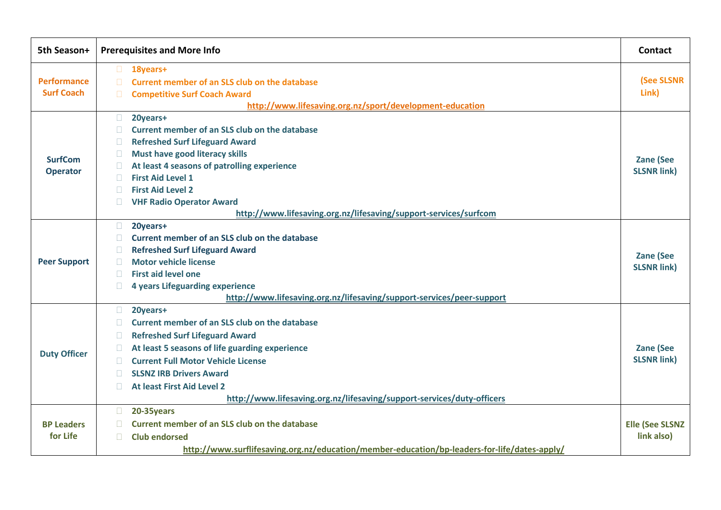| 5th Season+         | <b>Prerequisites and More Info</b>                                                                            | Contact                                |
|---------------------|---------------------------------------------------------------------------------------------------------------|----------------------------------------|
| <b>Performance</b>  | $\Box$<br>18years+<br><b>Current member of an SLS club on the database</b><br>$\Box$                          | (See SLSNR                             |
| <b>Surf Coach</b>   | <b>Competitive Surf Coach Award</b><br>$\Box$<br>http://www.lifesaving.org.nz/sport/development-education     | Link)                                  |
|                     | $\Box$<br>20years+                                                                                            |                                        |
|                     | Current member of an SLS club on the database                                                                 |                                        |
|                     | <b>Refreshed Surf Lifeguard Award</b><br>П                                                                    |                                        |
|                     | Must have good literacy skills<br>$\Box$                                                                      |                                        |
| <b>SurfCom</b>      | At least 4 seasons of patrolling experience<br>$\mathbb{R}^n$                                                 | <b>Zane (See</b><br><b>SLSNR link)</b> |
| <b>Operator</b>     | <b>First Aid Level 1</b><br>$\mathbb{R}^n$                                                                    |                                        |
|                     | <b>First Aid Level 2</b><br>$\Box$                                                                            |                                        |
|                     | <b>VHF Radio Operator Award</b>                                                                               |                                        |
|                     | http://www.lifesaving.org.nz/lifesaving/support-services/surfcom                                              |                                        |
|                     | $\Box$<br>20years+                                                                                            |                                        |
|                     | Current member of an SLS club on the database<br>n.                                                           |                                        |
|                     | <b>Refreshed Surf Lifeguard Award</b><br>H                                                                    | <b>Zane (See</b>                       |
| <b>Peer Support</b> | <b>Motor vehicle license</b><br><b>TER</b>                                                                    | <b>SLSNR link)</b>                     |
|                     | <b>First aid level one</b><br>n.                                                                              |                                        |
|                     | 4 years Lifeguarding experience<br>П<br>http://www.lifesaving.org.nz/lifesaving/support-services/peer-support |                                        |
|                     | $\Box$<br>20years+                                                                                            |                                        |
|                     | Current member of an SLS club on the database<br>$\mathbb{R}^n$                                               |                                        |
|                     | <b>Refreshed Surf Lifeguard Award</b><br>П                                                                    |                                        |
|                     | At least 5 seasons of life guarding experience<br>$\mathbb{R}^n$                                              | <b>Zane (See</b>                       |
| <b>Duty Officer</b> | <b>Current Full Motor Vehicle License</b><br>n.                                                               | <b>SLSNR link)</b>                     |
|                     | <b>SLSNZ IRB Drivers Award</b><br>$\mathbb{R}^n$                                                              |                                        |
|                     | At least First Aid Level 2                                                                                    |                                        |
|                     | http://www.lifesaving.org.nz/lifesaving/support-services/duty-officers                                        |                                        |
|                     | 20-35years<br>$\Box$                                                                                          |                                        |
| <b>BP Leaders</b>   | <b>Current member of an SLS club on the database</b>                                                          | <b>Elle (See SLSNZ</b>                 |
| for Life            | <b>Club endorsed</b><br>П.                                                                                    | link also)                             |
|                     | http://www.surflifesaving.org.nz/education/member-education/bp-leaders-for-life/dates-apply/                  |                                        |